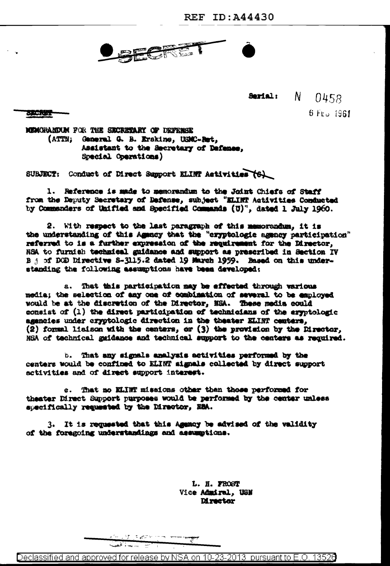**CANE** 

**Serial:** N 0458  $6$  Frg 1961

实际规则

MEMORANDUM FOR THE SECRETARY OF DEFRESE (ATTN: General G. B. Erskine, USMC-Bet. Assistant to the Secretary of Defense, Special Operations)

SUBJECT: Conduct of Direct Support ELIMP Activities (6)

1. Reference is made to memorandum to the Joint Chiefs of Staff from the Deputy Secretary of Defense, subject "ELINT Activities Conducted by Commanders of Unified and Specified Commands (U)", dated 1 July 1960.

2. With respect to the last paragraph of this memorandum. it is the understanding of this Agency that the "cryptologic agency participation" referred to is a further expression of the requirement for the Director. NSA to furnish technical guidance and support as prescribed in Section IV B j of DOD Directive S-3115.2 dated 19 March 1959. Based on this understanding the following assumptions have been developed:

a. That this participation may be effected through various media; the selection of any one of combination of several to be employed would be at the discretion of the Director, NSA. These media could consist of (1) the direct participation of technicians of the aryptologic assancies under cryptologic direction in the theater ELINT centers, (2) formal lisison with the centers, or (3) the provision by the Director, NSA of technical gaidance and technical support to the centers as required.

b. That any signals analysis activities performed by the centers would be confined to ELINT signals collected by direct support activities and of direct support interest.

c. That no ELINT missions other than those performed for theater Direct Support purposes would be performed by the center unless specifically requested by the Director, NNA.

3. It is requested that this Assacy be advised of the validity of the foregoing understandings and assumptions.

> L. H. FROST Vice Admiral, USN **Mrester**

Declassified and approved for release by NSA on 10-23-2013 pursuant to E.O. 13526

いす ちょごと ニュー

Simme E